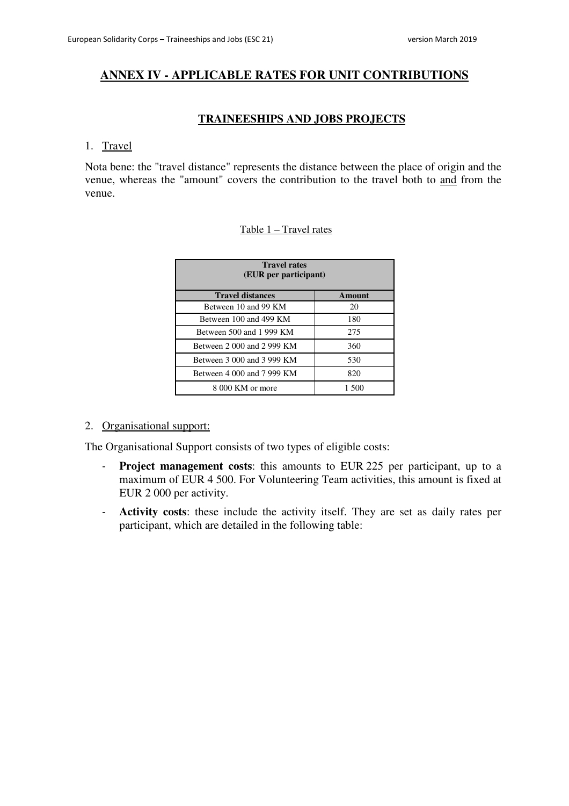# **ANNEX IV - APPLICABLE RATES FOR UNIT CONTRIBUTIONS**

## **TRAINEESHIPS AND JOBS PROJECTS**

#### 1. Travel

Nota bene: the "travel distance" represents the distance between the place of origin and the venue, whereas the "amount" covers the contribution to the travel both to and from the venue.

## Table 1 – Travel rates

| <b>Travel rates</b><br>(EUR per participant) |               |  |
|----------------------------------------------|---------------|--|
| <b>Travel distances</b>                      | <b>Amount</b> |  |
| Between 10 and 99 KM                         | 20            |  |
| Between 100 and 499 KM                       | 180           |  |
| Between 500 and 1 999 KM                     | 275           |  |
| Between 2 000 and 2 999 KM                   | 360           |  |
| Between 3 000 and 3 999 KM                   | 530           |  |
| Between 4 000 and 7 999 KM                   | 820           |  |
| 8 000 KM or more                             | 1 500         |  |

## 2. Organisational support:

The Organisational Support consists of two types of eligible costs:

- **Project management costs**: this amounts to EUR 225 per participant, up to a maximum of EUR 4 500. For Volunteering Team activities, this amount is fixed at EUR 2 000 per activity.
- **Activity costs**: these include the activity itself. They are set as daily rates per participant, which are detailed in the following table: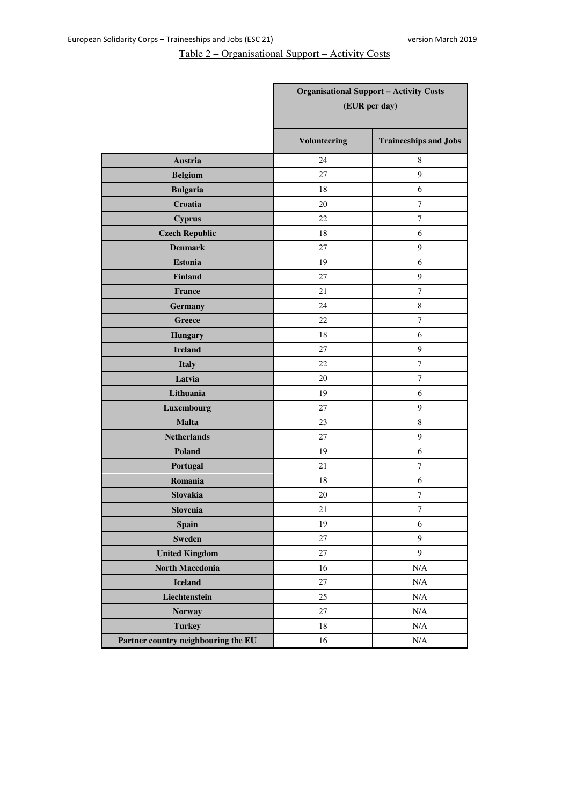# Table 2 – Organisational Support – Activity Costs

|                                     | <b>Organisational Support - Activity Costs</b><br>(EUR per day) |                              |
|-------------------------------------|-----------------------------------------------------------------|------------------------------|
|                                     | <b>Volunteering</b>                                             | <b>Traineeships and Jobs</b> |
| Austria                             | 24                                                              | 8                            |
| <b>Belgium</b>                      | 27                                                              | 9                            |
| <b>Bulgaria</b>                     | 18                                                              | 6                            |
| Croatia                             | 20                                                              | 7                            |
| <b>Cyprus</b>                       | 22                                                              | $\tau$                       |
| <b>Czech Republic</b>               | 18                                                              | 6                            |
| <b>Denmark</b>                      | 27                                                              | 9                            |
| <b>Estonia</b>                      | 19                                                              | 6                            |
| <b>Finland</b>                      | 27                                                              | 9                            |
| France                              | 21                                                              | $\tau$                       |
| <b>Germany</b>                      | 24                                                              | $\,8\,$                      |
| <b>Greece</b>                       | 22                                                              | $\tau$                       |
| <b>Hungary</b>                      | 18                                                              | 6                            |
| <b>Ireland</b>                      | 27                                                              | 9                            |
| <b>Italy</b>                        | 22                                                              | $\tau$                       |
| Latvia                              | 20                                                              | $\overline{7}$               |
| Lithuania                           | 19                                                              | 6                            |
| Luxembourg                          | 27                                                              | 9                            |
| <b>Malta</b>                        | 23                                                              | 8                            |
| <b>Netherlands</b>                  | 27                                                              | 9                            |
| Poland                              | 19                                                              | 6                            |
| Portugal                            | 21                                                              | $\tau$                       |
| Romania                             | 18                                                              | 6                            |
| Slovakia                            | 20                                                              | $\tau$                       |
| Slovenia                            | 21                                                              | 7                            |
| <b>Spain</b>                        | 19                                                              | $6\,$                        |
| <b>Sweden</b>                       | $27\,$                                                          | $\overline{9}$               |
| <b>United Kingdom</b>               | $27\,$                                                          | 9                            |
| North Macedonia                     | 16                                                              | $\rm N/A$                    |
| <b>Iceland</b>                      | 27                                                              | $\rm N/A$                    |
| Liechtenstein                       | 25                                                              | $\rm N/A$                    |
| <b>Norway</b>                       | 27                                                              | $\rm N/A$                    |
| <b>Turkey</b>                       | $18\,$                                                          | $\rm N/A$                    |
| Partner country neighbouring the EU | 16                                                              | $\rm N/A$                    |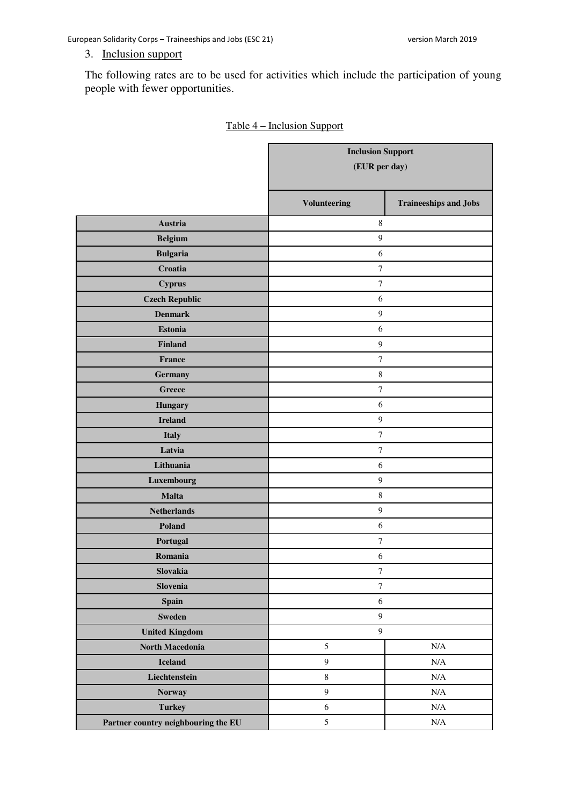European Solidarity Corps – Traineeships and Jobs (ESC 21) version March 2019

## 3. Inclusion support

The following rates are to be used for activities which include the participation of young people with fewer opportunities.

|                                     | <b>Inclusion Support</b><br>(EUR per day) |                              |
|-------------------------------------|-------------------------------------------|------------------------------|
|                                     | <b>Volunteering</b>                       | <b>Traineeships and Jobs</b> |
| Austria                             | $\,$ 8 $\,$                               |                              |
| <b>Belgium</b>                      | $\overline{9}$                            |                              |
| <b>Bulgaria</b>                     | 6                                         |                              |
| Croatia                             | $\boldsymbol{7}$                          |                              |
| <b>Cyprus</b>                       | $\boldsymbol{7}$                          |                              |
| <b>Czech Republic</b>               | $\sqrt{6}$                                |                              |
| <b>Denmark</b>                      | $\overline{9}$                            |                              |
| <b>Estonia</b>                      | $\sqrt{6}$                                |                              |
| <b>Finland</b>                      | $\boldsymbol{9}$                          |                              |
| France                              | $\boldsymbol{7}$                          |                              |
| <b>Germany</b>                      | $\,8\,$                                   |                              |
| Greece                              | $\boldsymbol{7}$                          |                              |
| <b>Hungary</b>                      | 6                                         |                              |
| <b>Ireland</b>                      | $\overline{9}$                            |                              |
| <b>Italy</b>                        | $\boldsymbol{7}$                          |                              |
| Latvia                              | $\boldsymbol{7}$                          |                              |
| Lithuania                           | $\sqrt{6}$                                |                              |
| Luxembourg                          | $\overline{9}$                            |                              |
| <b>Malta</b>                        | $\,8\,$                                   |                              |
| <b>Netherlands</b>                  | $\overline{9}$                            |                              |
| Poland                              | 6                                         |                              |
| Portugal                            | $\boldsymbol{7}$                          |                              |
| Romania                             | 6                                         |                              |
| Slovakia                            | $\boldsymbol{7}$                          |                              |
| Slovenia                            | $\boldsymbol{7}$                          |                              |
| <b>Spain</b>                        | $\sqrt{6}$                                |                              |
| <b>Sweden</b>                       | $\boldsymbol{9}$                          |                              |
| <b>United Kingdom</b>               | $\boldsymbol{9}$                          |                              |
| North Macedonia                     | 5                                         | $\rm N/A$                    |
| <b>Iceland</b>                      | $\boldsymbol{9}$                          | $\rm N/A$                    |
| Liechtenstein                       | $\,8\,$                                   | $\rm N/A$                    |
| Norway                              | $\overline{9}$                            | $\rm N/A$                    |
| <b>Turkey</b>                       | $\sqrt{6}$                                | $\rm N/A$                    |
| Partner country neighbouring the EU | $\mathfrak s$                             | $\rm N/A$                    |

| Table 4 – Inclusion Support |  |
|-----------------------------|--|
|                             |  |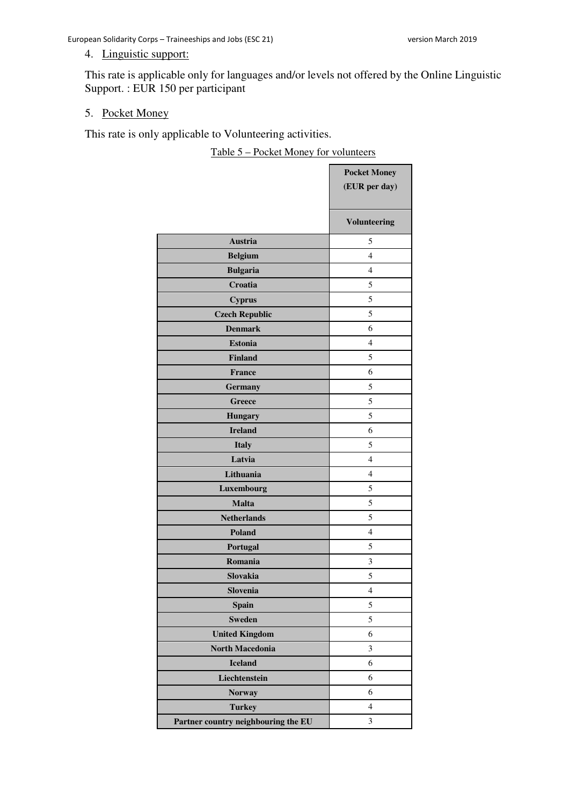## 4. Linguistic support:

This rate is applicable only for languages and/or levels not offered by the Online Linguistic Support. : EUR 150 per participant

### 5. Pocket Money

This rate is only applicable to Volunteering activities.

Table 5 – Pocket Money for volunteers

|                                     | <b>Pocket Money</b> |
|-------------------------------------|---------------------|
|                                     | (EUR per day)       |
|                                     |                     |
|                                     | <b>Volunteering</b> |
| Austria                             | 5                   |
| <b>Belgium</b>                      | 4                   |
| <b>Bulgaria</b>                     | 4                   |
| Croatia                             | 5                   |
| <b>Cyprus</b>                       | 5                   |
| <b>Czech Republic</b>               | 5                   |
| <b>Denmark</b>                      | 6                   |
| <b>Estonia</b>                      | $\overline{4}$      |
| <b>Finland</b>                      | 5                   |
| <b>France</b>                       | 6                   |
| <b>Germany</b>                      | 5                   |
| <b>Greece</b>                       | 5                   |
| <b>Hungary</b>                      | 5                   |
| <b>Ireland</b>                      | 6                   |
| <b>Italy</b>                        | 5                   |
| Latvia                              | $\overline{4}$      |
| Lithuania                           | 4                   |
| Luxembourg                          | 5                   |
| <b>Malta</b>                        | 5                   |
| <b>Netherlands</b>                  | 5                   |
| <b>Poland</b>                       | 4                   |
| Portugal                            | 5                   |
| Romania                             | 3                   |
| <b>Slovakia</b>                     | 5                   |
| Slovenia                            | $\overline{4}$      |
| <b>Spain</b>                        | 5                   |
| <b>Sweden</b>                       | 5                   |
| <b>United Kingdom</b>               | 6                   |
| <b>North Macedonia</b>              | 3                   |
| <b>Iceland</b>                      | 6                   |
| Liechtenstein                       | 6                   |
| <b>Norway</b>                       | 6                   |
| <b>Turkey</b>                       | $\overline{4}$      |
| Partner country neighbouring the EU | 3                   |